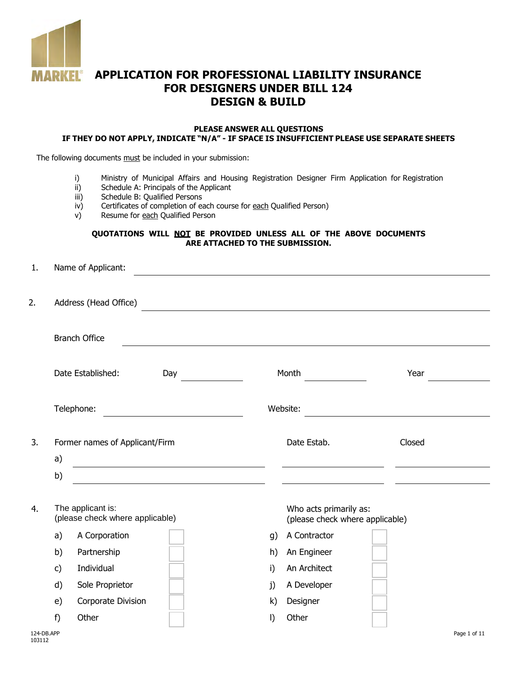

# **APPLICATION FOR PROFESSIONAL LIABILITY INSURANCE FOR DESIGNERS UNDER BILL 124 DESIGN & BUILD**

#### **PLEASE ANSWER ALL QUESTIONS IF THEY DO NOT APPLY, INDICATE "N/A" - IF SPACE IS INSUFFICIENT PLEASE USE SEPARATE SHEETS**

The following documents must be included in your submission:

- i) Ministry of Municipal Affairs and Housing Registration Designer Firm Application for Registration ii) Schedule A: Principals of the Applicant
- ii) Schedule A: Principals of the Applicant<br>iii) Schedule B: Qualified Persons
- Schedule B: Qualified Persons
- iv) Certificates of completion of each course for each Qualified Person)
- v) Resume for each Qualified Person

#### **QUOTATIONS WILL NOT BE PROVIDED UNLESS ALL OF THE ABOVE DOCUMENTS ARE ATTACHED TO THE SUBMISSION.**

| 1. |                       | Name of Applicant:                                   |                                                              |    |                                                           |        |  |  |  |  |  |
|----|-----------------------|------------------------------------------------------|--------------------------------------------------------------|----|-----------------------------------------------------------|--------|--|--|--|--|--|
| 2. | Address (Head Office) |                                                      |                                                              |    |                                                           |        |  |  |  |  |  |
|    |                       | <b>Branch Office</b>                                 |                                                              |    |                                                           |        |  |  |  |  |  |
|    |                       | Date Established:<br>Day                             |                                                              |    | Month                                                     | Year   |  |  |  |  |  |
|    |                       | Telephone:                                           |                                                              |    | Website:                                                  |        |  |  |  |  |  |
| 3. | a)                    | Former names of Applicant/Firm                       |                                                              |    | Date Estab.                                               | Closed |  |  |  |  |  |
| 4. | b)                    | The applicant is:<br>(please check where applicable) | <u> 1989 - Johann Barbara, martxa eta idazlea (h. 1989).</u> |    | Who acts primarily as:<br>(please check where applicable) |        |  |  |  |  |  |
|    | a)                    | A Corporation                                        |                                                              | g) | A Contractor                                              |        |  |  |  |  |  |
|    | b)                    | Partnership                                          |                                                              | h) | An Engineer                                               |        |  |  |  |  |  |
|    | c)                    | Individual                                           |                                                              | i) | An Architect                                              |        |  |  |  |  |  |
|    | d)                    | Sole Proprietor                                      |                                                              | j) | A Developer                                               |        |  |  |  |  |  |
|    | e)                    | Corporate Division                                   |                                                              | k) | Designer                                                  |        |  |  |  |  |  |
|    | f)                    | Other                                                |                                                              | I) | Other                                                     |        |  |  |  |  |  |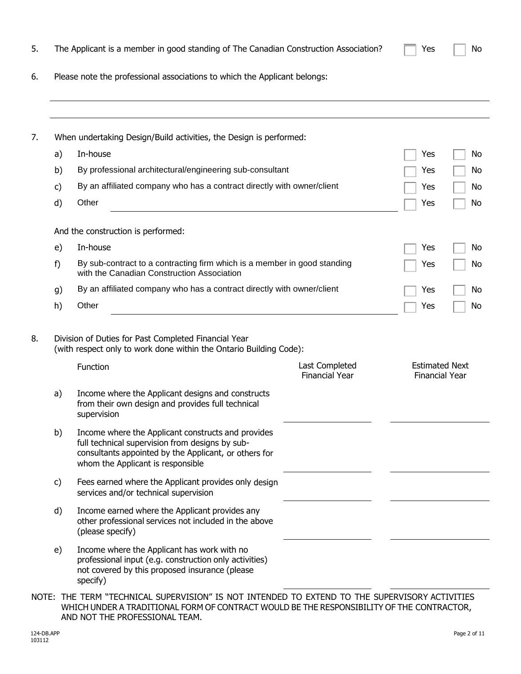|    | When undertaking Design/Build activities, the Design is performed:                                                                                                                                  |                                         |                                                |  |
|----|-----------------------------------------------------------------------------------------------------------------------------------------------------------------------------------------------------|-----------------------------------------|------------------------------------------------|--|
| a) | In-house                                                                                                                                                                                            |                                         | Yes                                            |  |
| b) | By professional architectural/engineering sub-consultant                                                                                                                                            |                                         | Yes                                            |  |
| c) | By an affiliated company who has a contract directly with owner/client                                                                                                                              |                                         | Yes                                            |  |
| d) | Other                                                                                                                                                                                               |                                         | Yes                                            |  |
|    | And the construction is performed:                                                                                                                                                                  |                                         |                                                |  |
| e) | In-house                                                                                                                                                                                            |                                         | Yes                                            |  |
| f) | By sub-contract to a contracting firm which is a member in good standing<br>with the Canadian Construction Association                                                                              |                                         | Yes                                            |  |
| g) | By an affiliated company who has a contract directly with owner/client                                                                                                                              |                                         | Yes                                            |  |
| h) | Other                                                                                                                                                                                               |                                         | Yes                                            |  |
|    | Division of Duties for Past Completed Financial Year<br>(with respect only to work done within the Ontario Building Code):                                                                          |                                         |                                                |  |
|    | Function                                                                                                                                                                                            | Last Completed<br><b>Financial Year</b> | <b>Estimated Next</b><br><b>Financial Year</b> |  |
| a) | Income where the Applicant designs and constructs<br>from their own design and provides full technical<br>supervision                                                                               |                                         |                                                |  |
| b) | Income where the Applicant constructs and provides<br>full technical supervision from designs by sub-<br>consultants appointed by the Applicant, or others for<br>whom the Applicant is responsible |                                         |                                                |  |
| c) | Fees earned where the Applicant provides only design<br>services and/or technical supervision                                                                                                       |                                         |                                                |  |
| d) | Income earned where the Applicant provides any<br>other professional services not included in the above<br>(please specify)                                                                         |                                         |                                                |  |

5. The Applicant is a member in good standing of The Canadian Construction Association?  $\Box$  Yes  $\Box$  No

NOTE: THE TERM "TECHNICAL SUPERVISION" IS NOT INTENDED TO EXTEND TO THE SUPERVISORY ACTIVITIES WHICH UNDER A TRADITIONAL FORM OF CONTRACT WOULD BE THE RESPONSIBILITY OF THE CONTRACTOR, AND NOT THE PROFESSIONAL TEAM.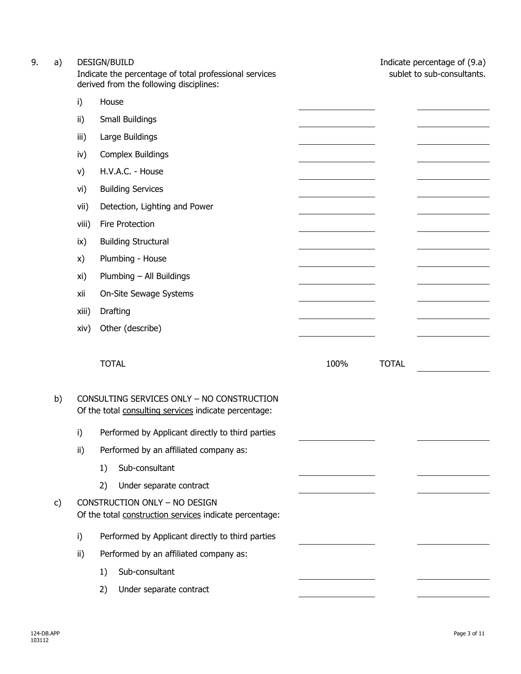| 9. | a) |       | <b>DESIGN/BUILD</b><br>Indicate the percentage of total professional services<br>derived from the following disciplines: |      |              | Indicate percentage of (9.a)<br>sublet to sub-consultants. |
|----|----|-------|--------------------------------------------------------------------------------------------------------------------------|------|--------------|------------------------------------------------------------|
|    |    | i)    | House                                                                                                                    |      |              |                                                            |
|    |    | ii)   | Small Buildings                                                                                                          |      |              |                                                            |
|    |    | iii)  | Large Buildings                                                                                                          |      |              |                                                            |
|    |    | iv)   | <b>Complex Buildings</b>                                                                                                 |      |              |                                                            |
|    |    | V)    | H.V.A.C. - House                                                                                                         |      |              |                                                            |
|    |    | vi)   | <b>Building Services</b>                                                                                                 |      |              |                                                            |
|    |    | vii)  | Detection, Lighting and Power                                                                                            |      |              |                                                            |
|    |    | viii) | Fire Protection                                                                                                          |      |              |                                                            |
|    |    | ix)   | <b>Building Structural</b>                                                                                               |      |              |                                                            |
|    |    | X)    | Plumbing - House                                                                                                         |      |              |                                                            |
|    |    | xi)   | Plumbing - All Buildings                                                                                                 |      |              |                                                            |
|    |    | xii   | On-Site Sewage Systems                                                                                                   |      |              |                                                            |
|    |    | xiii) | Drafting                                                                                                                 |      |              |                                                            |
|    |    | xiv)  | Other (describe)                                                                                                         |      |              |                                                            |
|    |    |       | <b>TOTAL</b>                                                                                                             | 100% | <b>TOTAL</b> |                                                            |
|    | b) |       | CONSULTING SERVICES ONLY - NO CONSTRUCTION<br>Of the total consulting services indicate percentage:                      |      |              |                                                            |
|    |    | i)    | Performed by Applicant directly to third parties                                                                         |      |              |                                                            |
|    |    | ii)   | Performed by an affiliated company as:                                                                                   |      |              |                                                            |
|    |    |       | Sub-consultant<br>1)                                                                                                     |      |              |                                                            |
|    |    |       | 2)<br>Under separate contract                                                                                            |      |              |                                                            |
|    | c) |       | CONSTRUCTION ONLY - NO DESIGN<br>Of the total construction services indicate percentage:                                 |      |              |                                                            |
|    |    | i)    | Performed by Applicant directly to third parties                                                                         |      |              |                                                            |
|    |    | ii)   | Performed by an affiliated company as:                                                                                   |      |              |                                                            |
|    |    |       | Sub-consultant<br>1)                                                                                                     |      |              |                                                            |
|    |    |       | Under separate contract<br>2)                                                                                            |      |              |                                                            |
|    |    |       |                                                                                                                          |      |              |                                                            |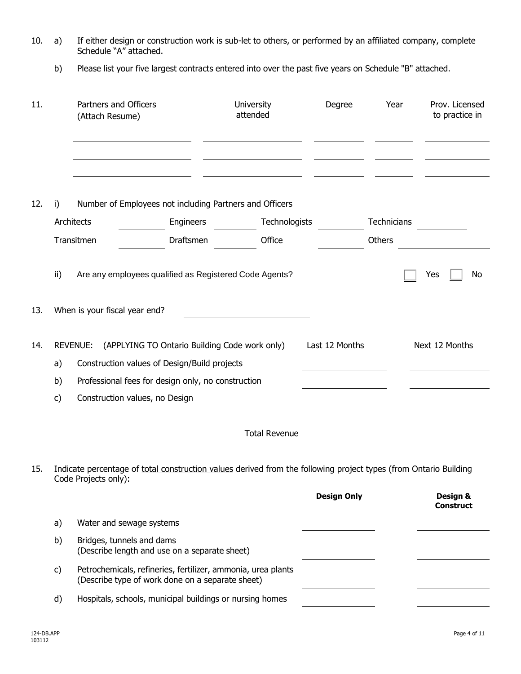| 10. a) | If either design or construction work is sub-let to others, or performed by an affiliated company, complete |
|--------|-------------------------------------------------------------------------------------------------------------|
|        | Schedule "A" attached.                                                                                      |

b) Please list your five largest contracts entered into over the past five years on Schedule "B" attached.

| 11. |                  | Partners and Officers<br>(Attach Resume) |                                                                                                                                                                                       | University<br>attended | Degree             | Year        | Prov. Licensed<br>to practice in |
|-----|------------------|------------------------------------------|---------------------------------------------------------------------------------------------------------------------------------------------------------------------------------------|------------------------|--------------------|-------------|----------------------------------|
| 12. | i)<br>Architects |                                          | Number of Employees not including Partners and Officers<br>Engineers                                                                                                                  | Technologists          |                    | Technicians |                                  |
|     |                  | Transitmen                               | Draftsmen                                                                                                                                                                             | Office                 |                    | Others      |                                  |
| 13. | ii)              | When is your fiscal year end?            | Are any employees qualified as Registered Code Agents?                                                                                                                                |                        |                    |             | No<br>Yes                        |
| 14. | a)<br>b)<br>c)   | <b>REVENUE:</b>                          | (APPLYING TO Ontario Building Code work only)<br>Construction values of Design/Build projects<br>Professional fees for design only, no construction<br>Construction values, no Design |                        | Last 12 Months     |             | Next 12 Months                   |
|     |                  |                                          |                                                                                                                                                                                       | <b>Total Revenue</b>   |                    |             |                                  |
| 15. |                  | Code Projects only):                     | Indicate percentage of total construction values derived from the following project types (from Ontario Building                                                                      |                        | <b>Design Only</b> |             | Design &<br><b>Construct</b>     |
|     | a)               |                                          | Water and sewage systems                                                                                                                                                              |                        |                    |             |                                  |
|     | b)               |                                          | Bridges, tunnels and dams<br>(Describe length and use on a separate sheet)                                                                                                            |                        |                    |             |                                  |
|     | c)               |                                          | Petrochemicals, refineries, fertilizer, ammonia, urea plants<br>(Describe type of work done on a separate sheet)                                                                      |                        |                    |             |                                  |
|     | d)               |                                          | Hospitals, schools, municipal buildings or nursing homes                                                                                                                              |                        |                    |             |                                  |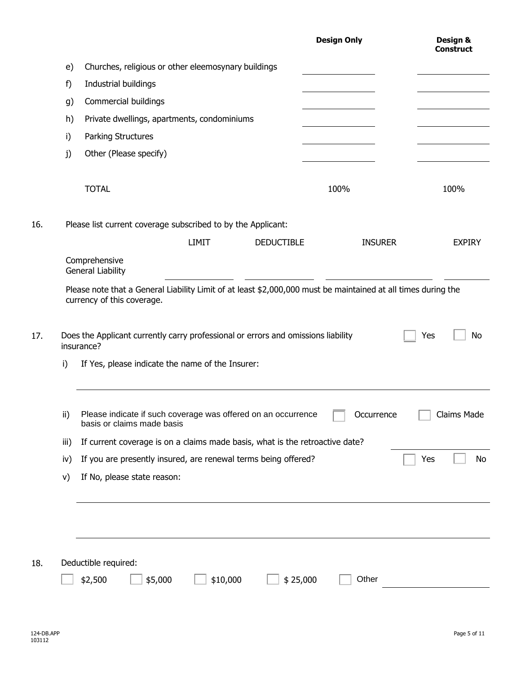| e)<br>f)<br>g)<br>h) | Churches, religious or other eleemosynary buildings                                                                                                                                                                                                          |                   |                |                          |
|----------------------|--------------------------------------------------------------------------------------------------------------------------------------------------------------------------------------------------------------------------------------------------------------|-------------------|----------------|--------------------------|
|                      |                                                                                                                                                                                                                                                              |                   |                |                          |
|                      | Industrial buildings                                                                                                                                                                                                                                         |                   |                |                          |
|                      | Commercial buildings                                                                                                                                                                                                                                         |                   |                |                          |
|                      | Private dwellings, apartments, condominiums                                                                                                                                                                                                                  |                   |                |                          |
| i)                   | Parking Structures                                                                                                                                                                                                                                           |                   |                |                          |
| j)                   | Other (Please specify)                                                                                                                                                                                                                                       |                   |                |                          |
|                      |                                                                                                                                                                                                                                                              |                   |                |                          |
|                      | <b>TOTAL</b>                                                                                                                                                                                                                                                 |                   | 100%           | 100%                     |
|                      |                                                                                                                                                                                                                                                              |                   |                |                          |
|                      | Please list current coverage subscribed to by the Applicant:                                                                                                                                                                                                 |                   |                |                          |
|                      | <b>LIMIT</b>                                                                                                                                                                                                                                                 | <b>DEDUCTIBLE</b> | <b>INSURER</b> | <b>EXPIRY</b>            |
|                      | Comprehensive                                                                                                                                                                                                                                                |                   |                |                          |
|                      |                                                                                                                                                                                                                                                              |                   |                |                          |
|                      | <b>General Liability</b><br>Please note that a General Liability Limit of at least \$2,000,000 must be maintained at all times during the<br>currency of this coverage.<br>Does the Applicant currently carry professional or errors and omissions liability |                   |                | Yes                      |
| i)                   | insurance?<br>If Yes, please indicate the name of the Insurer:                                                                                                                                                                                               |                   |                |                          |
| ii)                  | Please indicate if such coverage was offered on an occurrence<br>basis or claims made basis                                                                                                                                                                  |                   | Occurrence     |                          |
| iii)                 | If current coverage is on a claims made basis, what is the retroactive date?                                                                                                                                                                                 |                   |                | <b>No</b><br>Claims Made |
| iv)                  | If you are presently insured, are renewal terms being offered?                                                                                                                                                                                               |                   |                | Yes                      |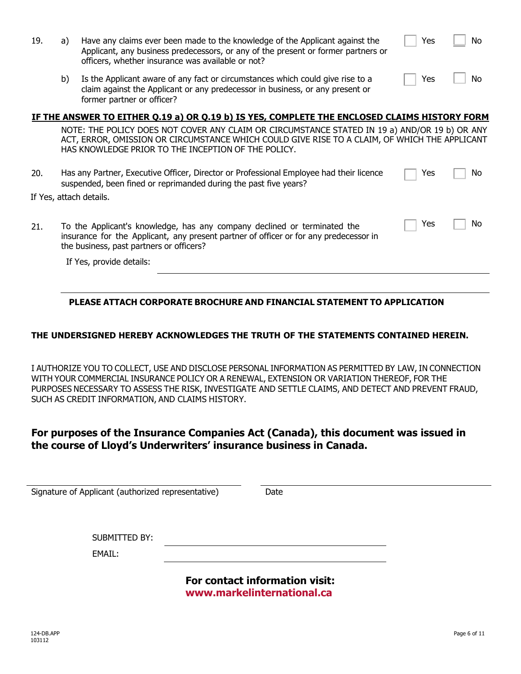| 19. | a) | Have any claims ever been made to the knowledge of the Applicant against the<br>Applicant, any business predecessors, or any of the present or former partners or<br>officers, whether insurance was available or not?                                | Yes | No. |
|-----|----|-------------------------------------------------------------------------------------------------------------------------------------------------------------------------------------------------------------------------------------------------------|-----|-----|
|     | b) | Is the Applicant aware of any fact or circumstances which could give rise to a<br>claim against the Applicant or any predecessor in business, or any present or<br>former partner or officer?                                                         | Yes | No  |
|     |    | IF THE ANSWER TO EITHER Q.19 a) OR Q.19 b) IS YES, COMPLETE THE ENCLOSED CLAIMS HISTORY FORM                                                                                                                                                          |     |     |
|     |    | NOTE: THE POLICY DOES NOT COVER ANY CLAIM OR CIRCUMSTANCE STATED IN 19 a) AND/OR 19 b) OR ANY<br>ACT, ERROR, OMISSION OR CIRCUMSTANCE WHICH COULD GIVE RISE TO A CLAIM, OF WHICH THE APPLICANT<br>HAS KNOWLEDGE PRIOR TO THE INCEPTION OF THE POLICY. |     |     |
| 20. |    | Has any Partner, Executive Officer, Director or Professional Employee had their licence<br>suspended, been fined or reprimanded during the past five years?                                                                                           | Yes | No. |
|     |    | If Yes, attach details.                                                                                                                                                                                                                               |     |     |
| 21. |    | To the Applicant's knowledge, has any company declined or terminated the<br>insurance for the Applicant, any present partner of officer or for any predecessor in<br>the business, past partners or officers?                                         | Yes | No  |
|     |    | If Yes, provide details:                                                                                                                                                                                                                              |     |     |
|     |    |                                                                                                                                                                                                                                                       |     |     |

#### **PLEASE ATTACH CORPORATE BROCHURE AND FINANCIAL STATEMENT TO APPLICATION**

#### **THE UNDERSIGNED HEREBY ACKNOWLEDGES THE TRUTH OF THE STATEMENTS CONTAINED HEREIN.**

I AUTHORIZE YOU TO COLLECT, USE AND DISCLOSE PERSONAL INFORMATION AS PERMITTED BY LAW, IN CONNECTION WITH YOUR COMMERCIAL INSURANCE POLICY OR A RENEWAL, EXTENSION OR VARIATION THEREOF, FOR THE PURPOSES NECESSARY TO ASSESS THE RISK, INVESTIGATE AND SETTLE CLAIMS, AND DETECT AND PREVENT FRAUD, SUCH AS CREDIT INFORMATION, AND CLAIMS HISTORY.

## **For purposes of the Insurance Companies Act (Canada), this document was issued in the course of Lloyd's Underwriters' insurance business in Canada.**

| Signature of Applicant (authorized representative) | Date                           |  |
|----------------------------------------------------|--------------------------------|--|
|                                                    |                                |  |
|                                                    |                                |  |
| SUBMITTED BY:                                      |                                |  |
| EMAIL:                                             |                                |  |
|                                                    |                                |  |
|                                                    | For contact information visit: |  |

**<www.markelinternational.ca>**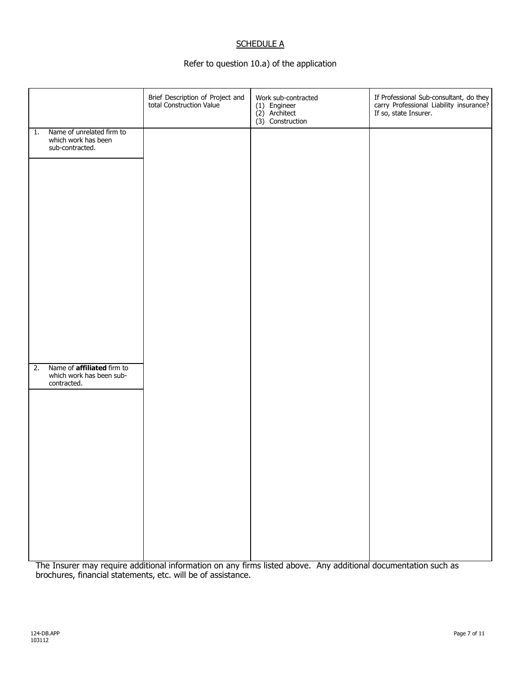## **SCHEDULE A**

## Refer to question 10.a) of the application

|    |                                                                              | Brief Description of Project and<br>total Construction Value | Work sub-contracted<br>(1) Engineer<br>(2) Architect<br>$(3)$ Construction | If Professional Sub-consultant, do they<br>carry Professional Liability insurance?<br>If so, state Insurer. |
|----|------------------------------------------------------------------------------|--------------------------------------------------------------|----------------------------------------------------------------------------|-------------------------------------------------------------------------------------------------------------|
| 1. | Name of unrelated firm to<br>which work has been<br>sub-contracted.          |                                                              |                                                                            |                                                                                                             |
|    |                                                                              |                                                              |                                                                            |                                                                                                             |
|    |                                                                              |                                                              |                                                                            |                                                                                                             |
|    |                                                                              |                                                              |                                                                            |                                                                                                             |
|    |                                                                              |                                                              |                                                                            |                                                                                                             |
|    |                                                                              |                                                              |                                                                            |                                                                                                             |
|    |                                                                              |                                                              |                                                                            |                                                                                                             |
| 2. | Name of <b>affiliated</b> firm to<br>which work has been sub-<br>contracted. |                                                              |                                                                            |                                                                                                             |
|    |                                                                              |                                                              |                                                                            |                                                                                                             |
|    |                                                                              |                                                              |                                                                            |                                                                                                             |
|    |                                                                              |                                                              |                                                                            |                                                                                                             |
|    |                                                                              |                                                              |                                                                            |                                                                                                             |
|    |                                                                              |                                                              |                                                                            |                                                                                                             |
|    |                                                                              |                                                              |                                                                            |                                                                                                             |

The Insurer may require additional information on any firms listed above. Any additional documentation such as brochures, financial statements, etc. will be of assistance.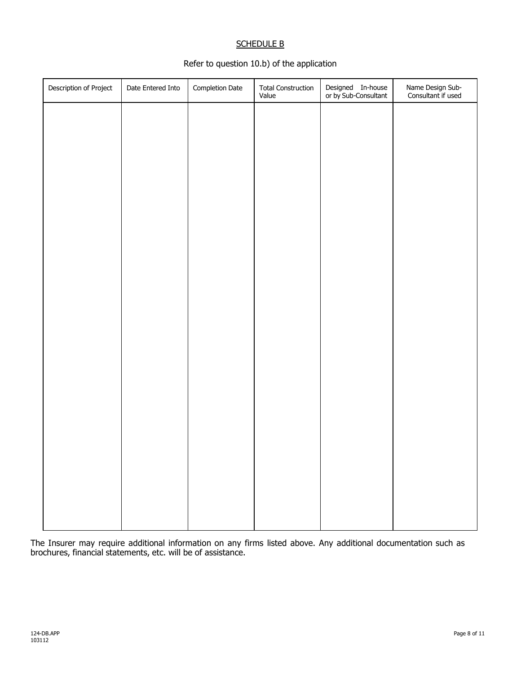### SCHEDULE B

## Refer to question 10.b) of the application

| Description of Project | Date Entered Into | Completion Date | Total Construction<br>Value | Designed In-house<br>or by Sub-Consultant | Name Design Sub-<br>Consultant if used |
|------------------------|-------------------|-----------------|-----------------------------|-------------------------------------------|----------------------------------------|
|                        |                   |                 |                             |                                           |                                        |
|                        |                   |                 |                             |                                           |                                        |
|                        |                   |                 |                             |                                           |                                        |
|                        |                   |                 |                             |                                           |                                        |
|                        |                   |                 |                             |                                           |                                        |
|                        |                   |                 |                             |                                           |                                        |
|                        |                   |                 |                             |                                           |                                        |
|                        |                   |                 |                             |                                           |                                        |
|                        |                   |                 |                             |                                           |                                        |
|                        |                   |                 |                             |                                           |                                        |
|                        |                   |                 |                             |                                           |                                        |
|                        |                   |                 |                             |                                           |                                        |
|                        |                   |                 |                             |                                           |                                        |
|                        |                   |                 |                             |                                           |                                        |
|                        |                   |                 |                             |                                           |                                        |
|                        |                   |                 |                             |                                           |                                        |
|                        |                   |                 |                             |                                           |                                        |
|                        |                   |                 |                             |                                           |                                        |

The Insurer may require additional information on any firms listed above. Any additional documentation such as brochures, financial statements, etc. will be of assistance.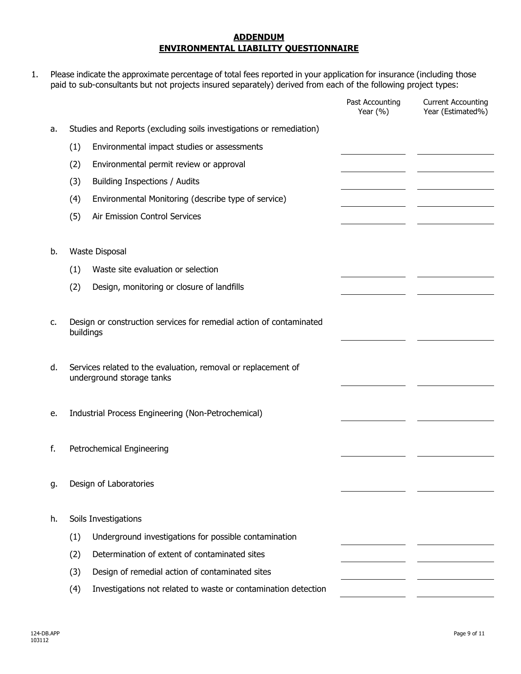#### **ADDENDUM ENVIRONMENTAL LIABILITY QUESTIONNAIRE**

1. Please indicate the approximate percentage of total fees reported in your application for insurance (including those paid to sub-consultants but not projects insured separately) derived from each of the following project types:

|    |           |                                                                                            | Past Accounting<br>Year $(% )$ | <b>Current Accounting</b><br>Year (Estimated%) |
|----|-----------|--------------------------------------------------------------------------------------------|--------------------------------|------------------------------------------------|
| a. |           | Studies and Reports (excluding soils investigations or remediation)                        |                                |                                                |
|    | (1)       | Environmental impact studies or assessments                                                |                                |                                                |
|    | (2)       | Environmental permit review or approval                                                    |                                |                                                |
|    | (3)       | Building Inspections / Audits                                                              |                                |                                                |
|    | (4)       | Environmental Monitoring (describe type of service)                                        |                                |                                                |
|    | (5)       | Air Emission Control Services                                                              |                                |                                                |
|    |           |                                                                                            |                                |                                                |
| b. |           | Waste Disposal                                                                             |                                |                                                |
|    | (1)       | Waste site evaluation or selection                                                         |                                |                                                |
|    | (2)       | Design, monitoring or closure of landfills                                                 |                                |                                                |
| c. | buildings | Design or construction services for remedial action of contaminated                        |                                |                                                |
| d. |           | Services related to the evaluation, removal or replacement of<br>underground storage tanks |                                |                                                |
| e. |           | Industrial Process Engineering (Non-Petrochemical)                                         |                                |                                                |
| f. |           | Petrochemical Engineering                                                                  |                                |                                                |
| g. |           | Design of Laboratories                                                                     |                                |                                                |
| h. |           | Soils Investigations                                                                       |                                |                                                |
|    | (1)       | Underground investigations for possible contamination                                      |                                |                                                |
|    | (2)       | Determination of extent of contaminated sites                                              |                                |                                                |
|    | (3)       | Design of remedial action of contaminated sites                                            |                                |                                                |
|    | (4)       | Investigations not related to waste or contamination detection                             |                                |                                                |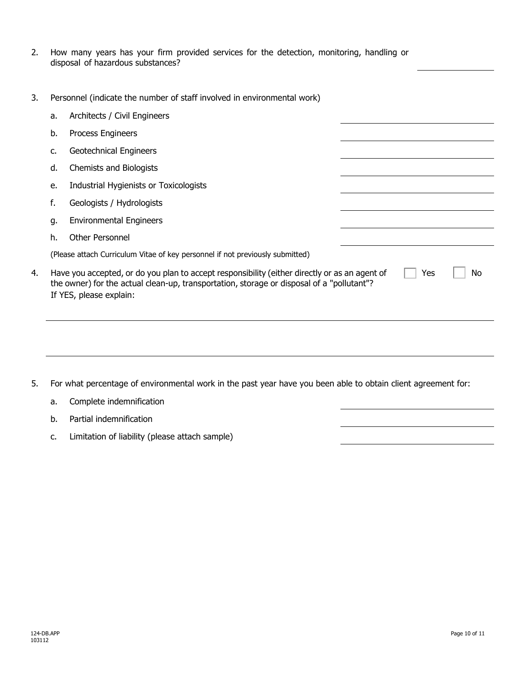| 2. How many years has your firm provided services for the detection, monitoring, handling or |  |  |  |  |  |  |
|----------------------------------------------------------------------------------------------|--|--|--|--|--|--|
| disposal of hazardous substances?                                                            |  |  |  |  |  |  |

3. Personnel (indicate the number of staff involved in environmental work)

|    | a. | Architects / Civil Engineers                                                                                                                                                                                          |     |    |  |
|----|----|-----------------------------------------------------------------------------------------------------------------------------------------------------------------------------------------------------------------------|-----|----|--|
|    | b. | Process Engineers                                                                                                                                                                                                     |     |    |  |
|    | c. | Geotechnical Engineers                                                                                                                                                                                                |     |    |  |
|    | d. | Chemists and Biologists                                                                                                                                                                                               |     |    |  |
|    | e. | Industrial Hygienists or Toxicologists                                                                                                                                                                                |     |    |  |
|    | f. | Geologists / Hydrologists                                                                                                                                                                                             |     |    |  |
|    | g. | <b>Environmental Engineers</b>                                                                                                                                                                                        |     |    |  |
|    | h. | <b>Other Personnel</b>                                                                                                                                                                                                |     |    |  |
|    |    | (Please attach Curriculum Vitae of key personnel if not previously submitted)                                                                                                                                         |     |    |  |
| 4. |    | Have you accepted, or do you plan to accept responsibility (either directly or as an agent of<br>the owner) for the actual clean-up, transportation, storage or disposal of a "pollutant"?<br>If YES, please explain: | Yes | No |  |
|    |    |                                                                                                                                                                                                                       |     |    |  |

- 5. For what percentage of environmental work in the past year have you been able to obtain client agreement for:
	- a. Complete indemnification
	- b. Partial indemnification
	- c. Limitation of liability (please attach sample)